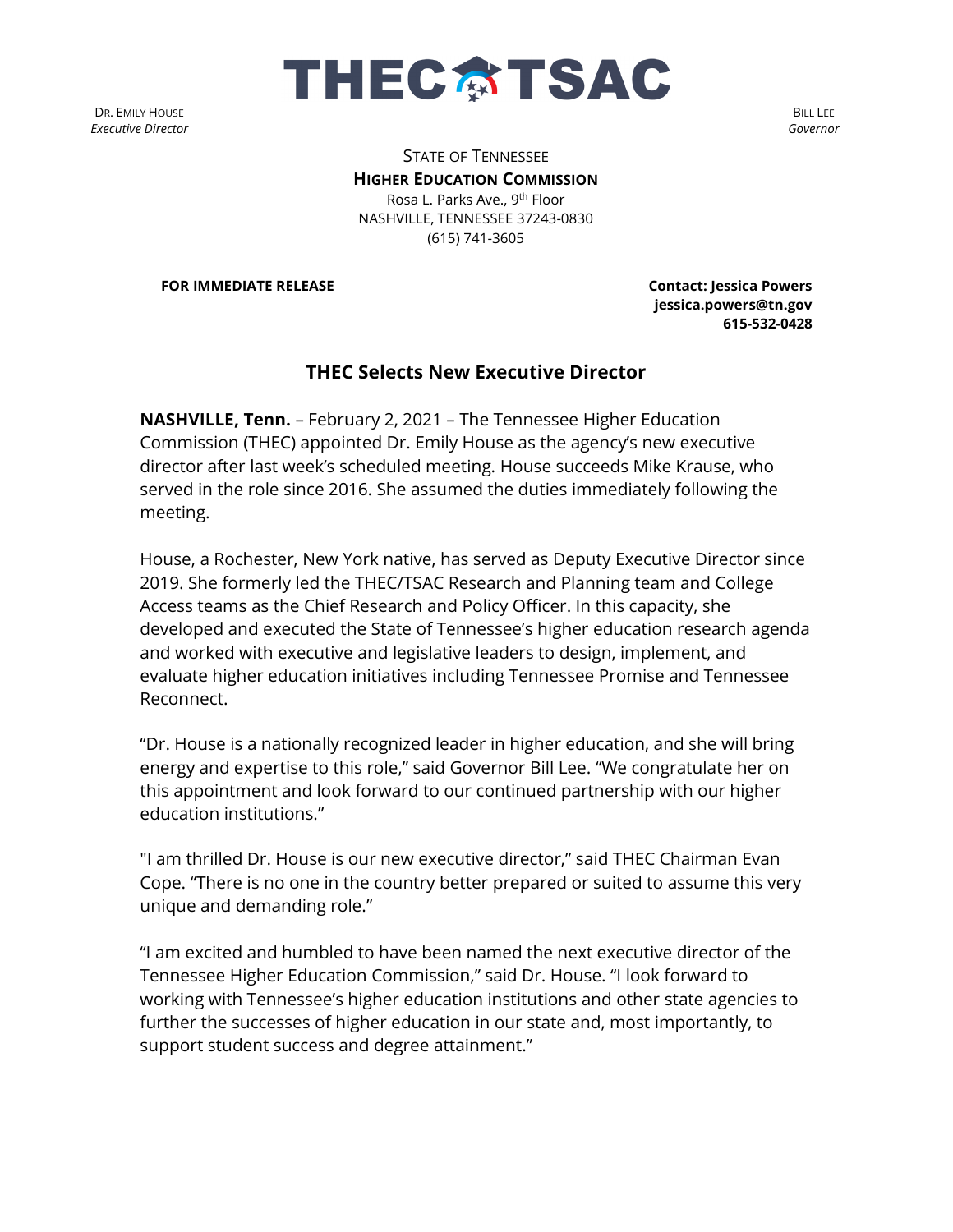

DR. EMILY HOUSE *Executive Director*

BILL LEE *Governor*

STATE OF TENNESSEE **HIGHER EDUCATION COMMISSION** Rosa L. Parks Ave., 9<sup>th</sup> Floor NASHVILLE, TENNESSEE 37243-0830 (615) 741-3605

**FOR IMMEDIATE RELEASE Contact: Jessica Powers** 

**jessica.powers@tn.gov 615-532-0428**

## **THEC Selects New Executive Director**

**NASHVILLE, Tenn.** – February 2, 2021 – The Tennessee Higher Education Commission (THEC) appointed Dr. Emily House as the agency's new executive director after last week's scheduled meeting. House succeeds Mike Krause, who served in the role since 2016. She assumed the duties immediately following the meeting.

House, a Rochester, New York native, has served as Deputy Executive Director since 2019. She formerly led the THEC/TSAC Research and Planning team and College Access teams as the Chief Research and Policy Officer. In this capacity, she developed and executed the State of Tennessee's higher education research agenda and worked with executive and legislative leaders to design, implement, and evaluate higher education initiatives including Tennessee Promise and Tennessee Reconnect.

"Dr. House is a nationally recognized leader in higher education, and she will bring energy and expertise to this role," said Governor Bill Lee. "We congratulate her on this appointment and look forward to our continued partnership with our higher education institutions."

"I am thrilled Dr. House is our new executive director," said THEC Chairman Evan Cope. "There is no one in the country better prepared or suited to assume this very unique and demanding role."

"I am excited and humbled to have been named the next executive director of the Tennessee Higher Education Commission," said Dr. House. "I look forward to working with Tennessee's higher education institutions and other state agencies to further the successes of higher education in our state and, most importantly, to support student success and degree attainment."